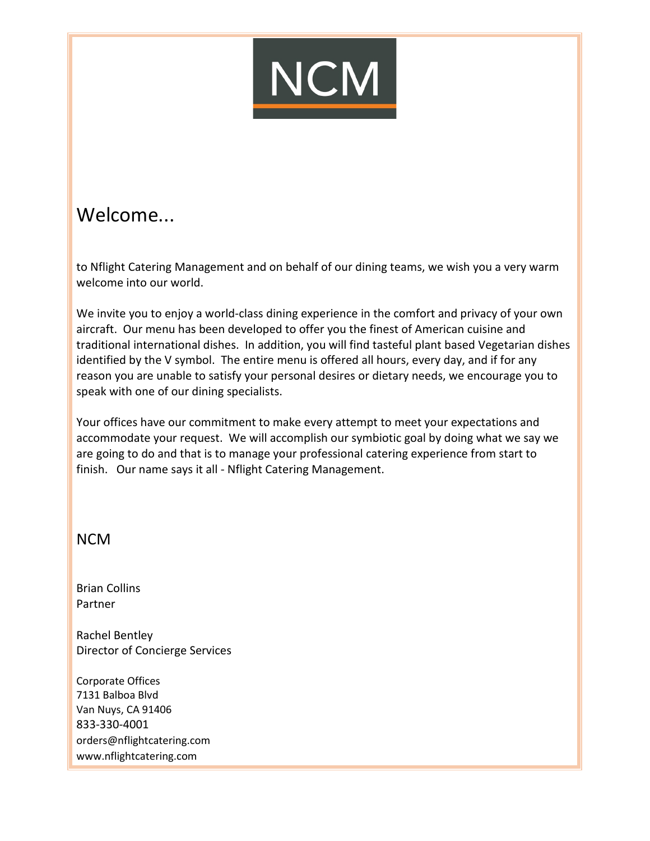

# Welcome...

to Nflight Catering Management and on behalf of our dining teams, we wish you a very warm welcome into our world.

We invite you to enjoy a world-class dining experience in the comfort and privacy of your own aircraft. Our menu has been developed to offer you the finest of American cuisine and traditional international dishes. In addition, you will find tasteful plant based Vegetarian dishes identified by the V symbol. The entire menu is offered all hours, every day, and if for any reason you are unable to satisfy your personal desires or dietary needs, we encourage you to speak with one of our dining specialists.

Your offices have our commitment to make every attempt to meet your expectations and accommodate your request. We will accomplish our symbiotic goal by doing what we say we are going to do and that is to manage your professional catering experience from start to finish. Our name says it all - Nflight Catering Management.

# NCM

Brian Collins Partner

Rachel Bentley Director of Concierge Services

Corporate Offices 7131 Balboa Blvd Van Nuys, CA 91406 833-330-4001 orders@nflightcatering.com www.nflightcatering.com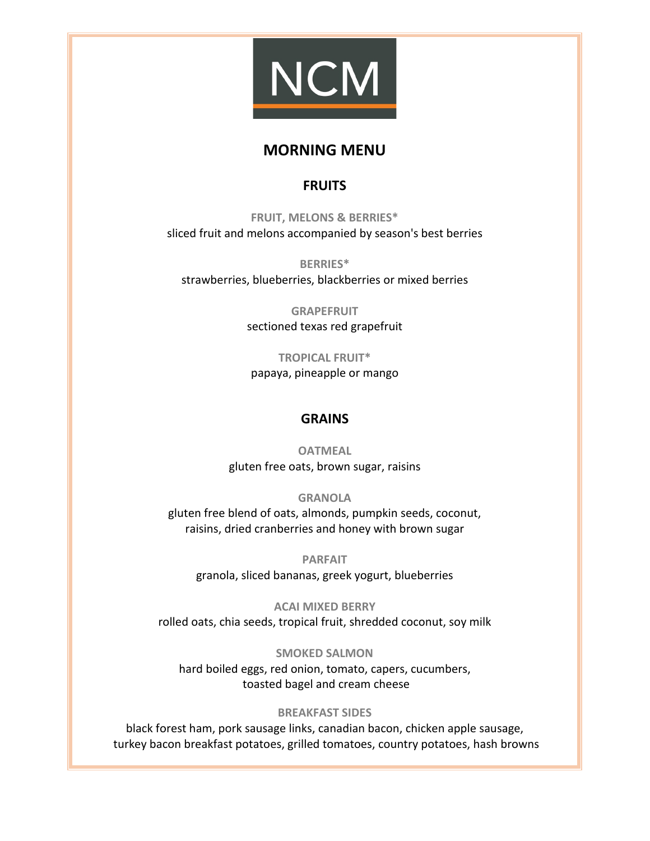

# **MORNING MENU**

## **FRUITS**

**FRUIT, MELONS & BERRIES\*** sliced fruit and melons accompanied by season's best berries

**BERRIES\*** strawberries, blueberries, blackberries or mixed berries

> **GRAPEFRUIT** sectioned texas red grapefruit

**TROPICAL FRUIT\*** papaya, pineapple or mango

### **GRAINS**

**OATMEAL** gluten free oats, brown sugar, raisins

**GRANOLA** gluten free blend of oats, almonds, pumpkin seeds, coconut, raisins, dried cranberries and honey with brown sugar

**PARFAIT** granola, sliced bananas, greek yogurt, blueberries

**ACAI MIXED BERRY** rolled oats, chia seeds, tropical fruit, shredded coconut, soy milk

**SMOKED SALMON** hard boiled eggs, red onion, tomato, capers, cucumbers, toasted bagel and cream cheese

#### **BREAKFAST SIDES**

black forest ham, pork sausage links, canadian bacon, chicken apple sausage, turkey bacon breakfast potatoes, grilled tomatoes, country potatoes, hash browns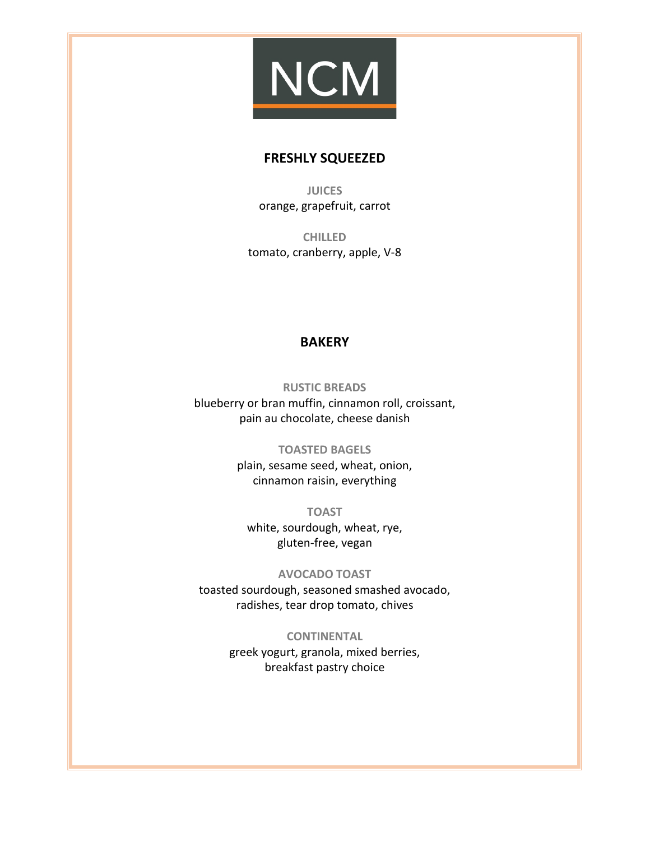

#### **FRESHLY SQUEEZED**

**JUICES** orange, grapefruit, carrot

**CHILLED** tomato, cranberry, apple, V-8

#### **BAKERY**

**RUSTIC BREADS** blueberry or bran muffin, cinnamon roll, croissant, pain au chocolate, cheese danish

#### **TOASTED BAGELS**

plain, sesame seed, wheat, onion, cinnamon raisin, everything

**TOAST** white, sourdough, wheat, rye, gluten-free, vegan

#### **AVOCADO TOAST**

toasted sourdough, seasoned smashed avocado, radishes, tear drop tomato, chives

> **CONTINENTAL** greek yogurt, granola, mixed berries, breakfast pastry choice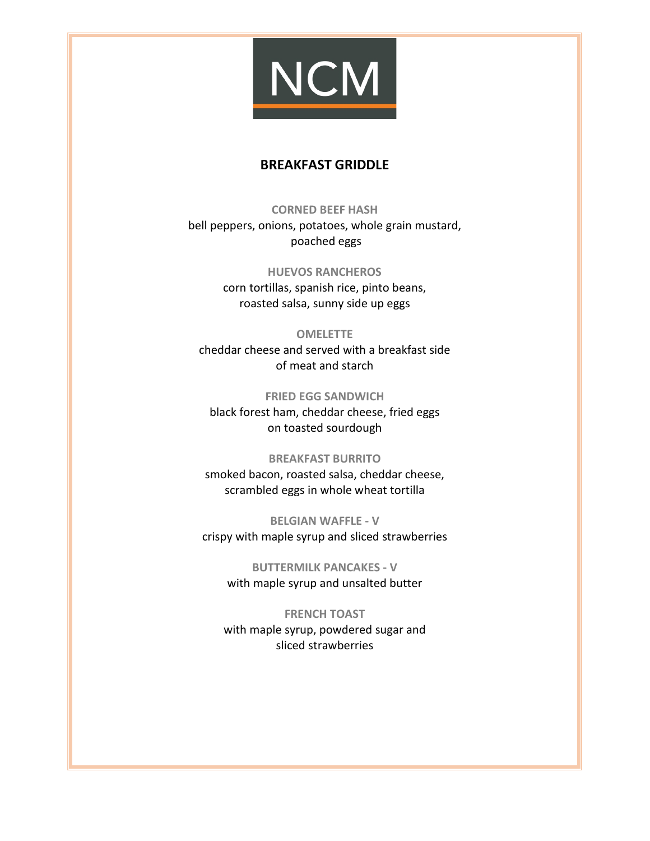

### **BREAKFAST GRIDDLE**

**CORNED BEEF HASH**

bell peppers, onions, potatoes, whole grain mustard, poached eggs

> **HUEVOS RANCHEROS** corn tortillas, spanish rice, pinto beans, roasted salsa, sunny side up eggs

#### **OMELETTE**

cheddar cheese and served with a breakfast side of meat and starch

**FRIED EGG SANDWICH**

black forest ham, cheddar cheese, fried eggs on toasted sourdough

#### **BREAKFAST BURRITO**

smoked bacon, roasted salsa, cheddar cheese, scrambled eggs in whole wheat tortilla

**BELGIAN WAFFLE - V** crispy with maple syrup and sliced strawberries

**BUTTERMILK PANCAKES - V** with maple syrup and unsalted butter

#### **FRENCH TOAST**

with maple syrup, powdered sugar and sliced strawberries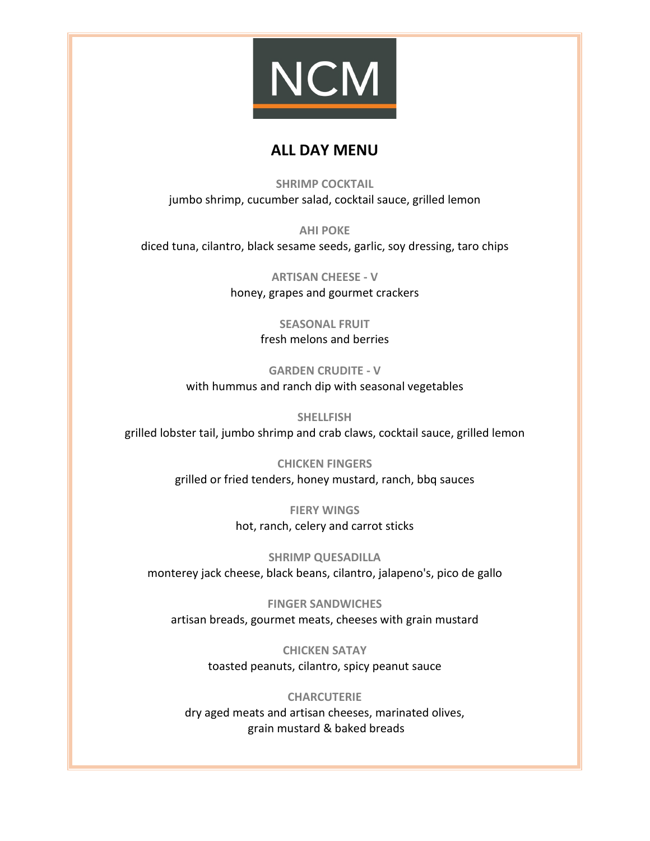

# **ALL DAY MENU**

**SHRIMP COCKTAIL** jumbo shrimp, cucumber salad, cocktail sauce, grilled lemon

**AHI POKE** diced tuna, cilantro, black sesame seeds, garlic, soy dressing, taro chips

> **ARTISAN CHEESE - V** honey, grapes and gourmet crackers

> > **SEASONAL FRUIT** fresh melons and berries

**GARDEN CRUDITE - V** with hummus and ranch dip with seasonal vegetables

**SHELLFISH** grilled lobster tail, jumbo shrimp and crab claws, cocktail sauce, grilled lemon

> **CHICKEN FINGERS** grilled or fried tenders, honey mustard, ranch, bbq sauces

> > **FIERY WINGS** hot, ranch, celery and carrot sticks

**SHRIMP QUESADILLA** monterey jack cheese, black beans, cilantro, jalapeno's, pico de gallo

**FINGER SANDWICHES** artisan breads, gourmet meats, cheeses with grain mustard

> **CHICKEN SATAY** toasted peanuts, cilantro, spicy peanut sauce

**CHARCUTERIE** dry aged meats and artisan cheeses, marinated olives, grain mustard & baked breads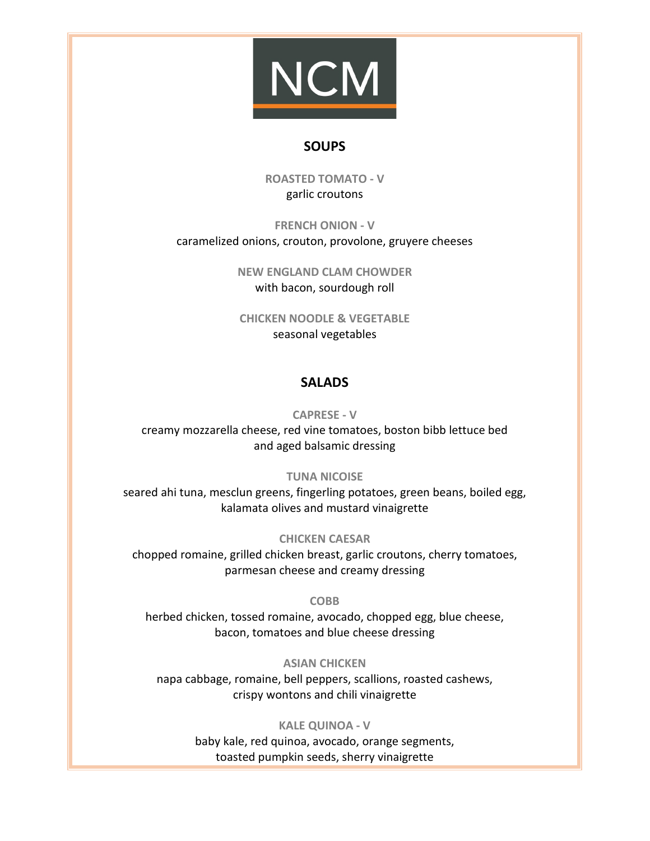

### **SOUPS**

**ROASTED TOMATO - V** garlic croutons

**FRENCH ONION - V** caramelized onions, crouton, provolone, gruyere cheeses

> **NEW ENGLAND CLAM CHOWDER** with bacon, sourdough roll

**CHICKEN NOODLE & VEGETABLE** seasonal vegetables

### **SALADS**

**CAPRESE - V** creamy mozzarella cheese, red vine tomatoes, boston bibb lettuce bed and aged balsamic dressing

#### **TUNA NICOISE**

seared ahi tuna, mesclun greens, fingerling potatoes, green beans, boiled egg, kalamata olives and mustard vinaigrette

#### **CHICKEN CAESAR**

chopped romaine, grilled chicken breast, garlic croutons, cherry tomatoes, parmesan cheese and creamy dressing

**COBB**

herbed chicken, tossed romaine, avocado, chopped egg, blue cheese, bacon, tomatoes and blue cheese dressing

**ASIAN CHICKEN**

napa cabbage, romaine, bell peppers, scallions, roasted cashews, crispy wontons and chili vinaigrette

#### **KALE QUINOA - V**

baby kale, red quinoa, avocado, orange segments, toasted pumpkin seeds, sherry vinaigrette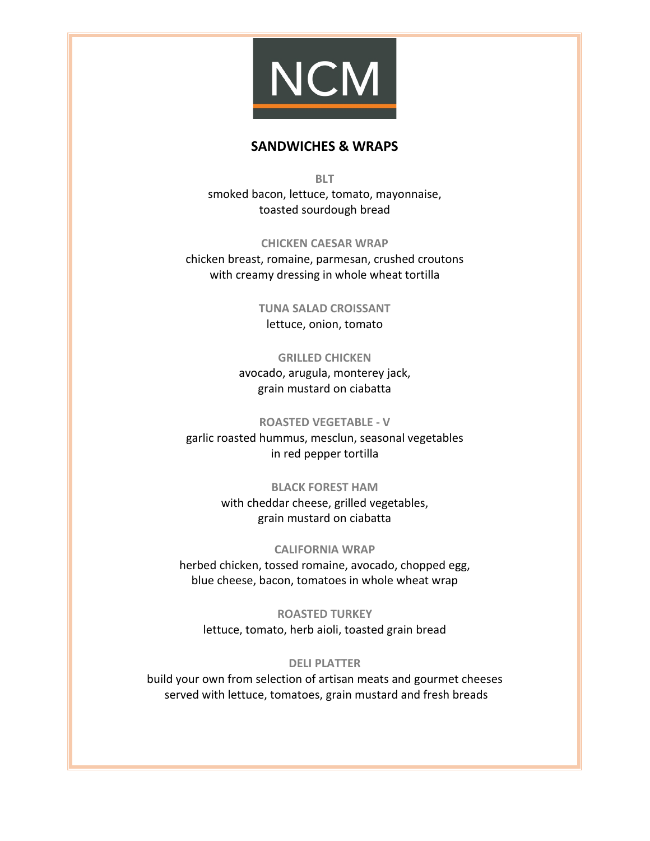

### **SANDWICHES & WRAPS**

**BLT** smoked bacon, lettuce, tomato, mayonnaise, toasted sourdough bread

#### **CHICKEN CAESAR WRAP**

chicken breast, romaine, parmesan, crushed croutons with creamy dressing in whole wheat tortilla

> **TUNA SALAD CROISSANT** lettuce, onion, tomato

#### **GRILLED CHICKEN**

avocado, arugula, monterey jack, grain mustard on ciabatta

#### **ROASTED VEGETABLE - V**

garlic roasted hummus, mesclun, seasonal vegetables in red pepper tortilla

#### **BLACK FOREST HAM**

with cheddar cheese, grilled vegetables, grain mustard on ciabatta

#### **CALIFORNIA WRAP**

herbed chicken, tossed romaine, avocado, chopped egg, blue cheese, bacon, tomatoes in whole wheat wrap

**ROASTED TURKEY** lettuce, tomato, herb aioli, toasted grain bread

#### **DELI PLATTER**

build your own from selection of artisan meats and gourmet cheeses served with lettuce, tomatoes, grain mustard and fresh breads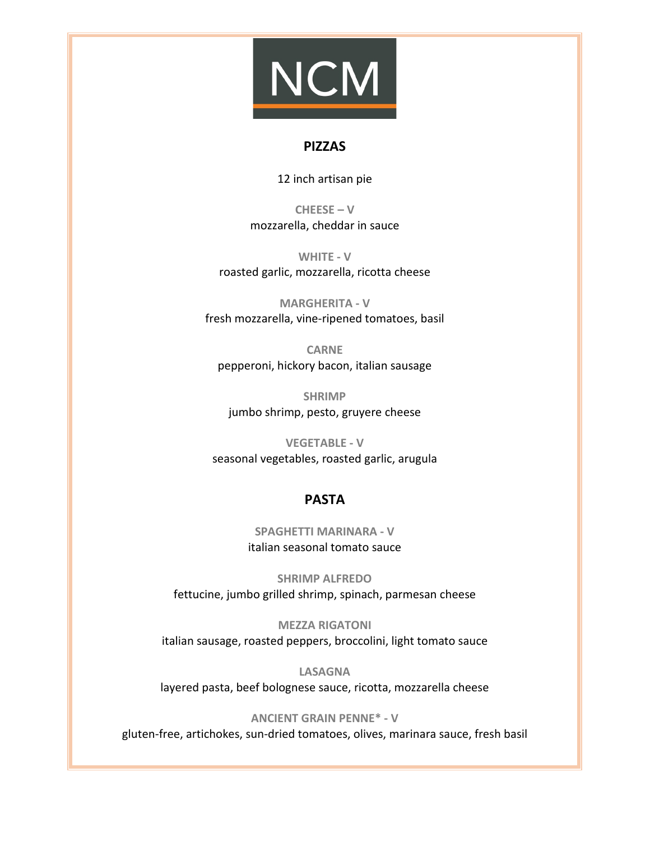

#### **PIZZAS**

12 inch artisan pie

**CHEESE – V** mozzarella, cheddar in sauce

**WHITE - V** roasted garlic, mozzarella, ricotta cheese

**MARGHERITA - V** fresh mozzarella, vine-ripened tomatoes, basil

**CARNE** pepperoni, hickory bacon, italian sausage

**SHRIMP** jumbo shrimp, pesto, gruyere cheese

**VEGETABLE - V** seasonal vegetables, roasted garlic, arugula

### **PASTA**

**SPAGHETTI MARINARA - V** italian seasonal tomato sauce

**SHRIMP ALFREDO** fettucine, jumbo grilled shrimp, spinach, parmesan cheese

**MEZZA RIGATONI** italian sausage, roasted peppers, broccolini, light tomato sauce

**LASAGNA** layered pasta, beef bolognese sauce, ricotta, mozzarella cheese

**ANCIENT GRAIN PENNE\* - V**

gluten-free, artichokes, sun-dried tomatoes, olives, marinara sauce, fresh basil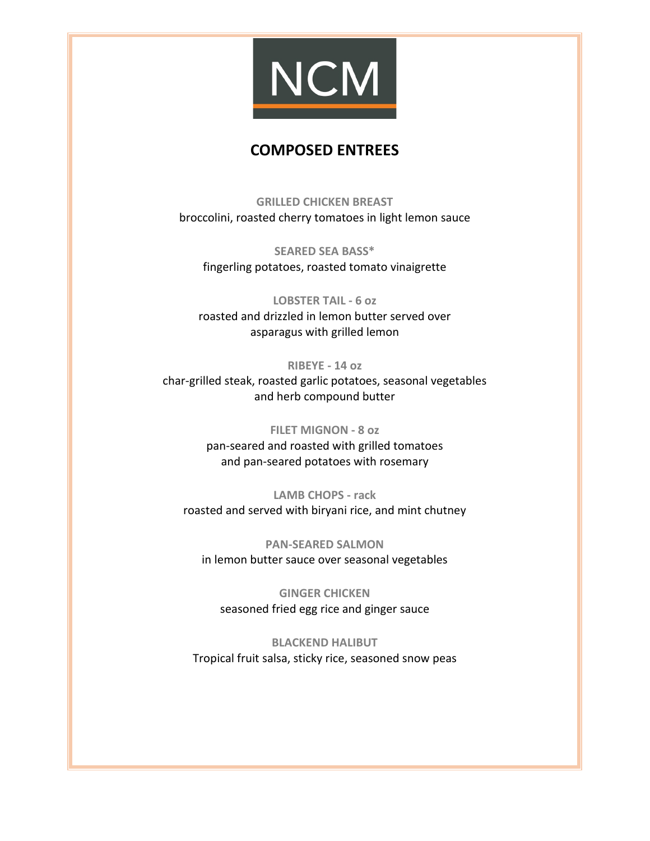

# **COMPOSED ENTREES**

**GRILLED CHICKEN BREAST** broccolini, roasted cherry tomatoes in light lemon sauce

**SEARED SEA BASS\*** fingerling potatoes, roasted tomato vinaigrette

**LOBSTER TAIL - 6 oz** roasted and drizzled in lemon butter served over asparagus with grilled lemon

**RIBEYE - 14 oz** char-grilled steak, roasted garlic potatoes, seasonal vegetables and herb compound butter

> **FILET MIGNON - 8 oz** pan-seared and roasted with grilled tomatoes and pan-seared potatoes with rosemary

**LAMB CHOPS - rack** roasted and served with biryani rice, and mint chutney

**PAN-SEARED SALMON** in lemon butter sauce over seasonal vegetables

**GINGER CHICKEN** seasoned fried egg rice and ginger sauce

**BLACKEND HALIBUT** Tropical fruit salsa, sticky rice, seasoned snow peas